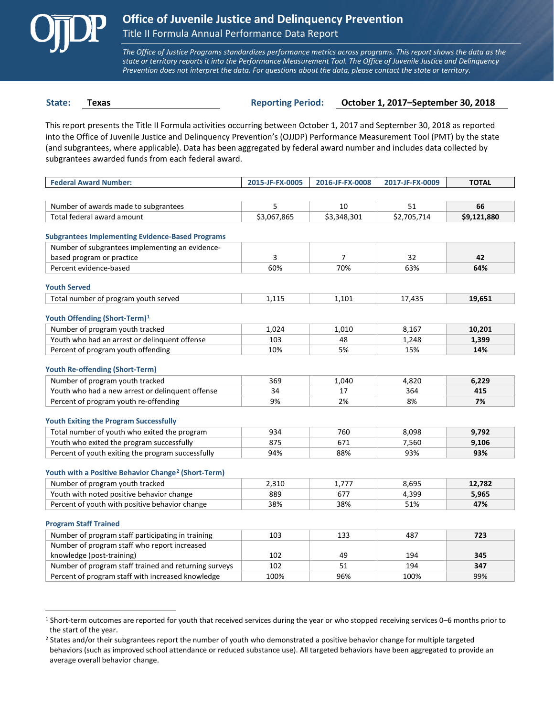

*The Office of Justice Programs standardizes performance metrics across programs. This report shows the data as the state or territory reports it into the Performance Measurement Tool. The Office of Juvenile Justice and Delinquency Prevention does not interpret the data. For questions about the data, please contact the state or territory.*

 $\overline{a}$ 

**State: Texas Reporting Period: October 1, 2017–September 30, 2018**

This report presents the Title II Formula activities occurring between October 1, 2017 and September 30, 2018 as reported into the Office of Juvenile Justice and Delinquency Prevention's (OJJDP) Performance Measurement Tool (PMT) by the state (and subgrantees, where applicable). Data has been aggregated by federal award number and includes data collected by subgrantees awarded funds from each federal award.

| <b>Federal Award Number:</b>                                    | 2015-JF-FX-0005 | 2016-JF-FX-0008 | 2017-JF-FX-0009 | <b>TOTAL</b> |
|-----------------------------------------------------------------|-----------------|-----------------|-----------------|--------------|
|                                                                 |                 |                 |                 |              |
| Number of awards made to subgrantees                            | 5               | 10              | 51              | 66           |
| Total federal award amount                                      | \$3,067,865     | \$3,348,301     | \$2,705,714     | \$9,121,880  |
| <b>Subgrantees Implementing Evidence-Based Programs</b>         |                 |                 |                 |              |
| Number of subgrantees implementing an evidence-                 |                 |                 |                 |              |
| based program or practice                                       | 3               | $\overline{7}$  | 32              | 42           |
| Percent evidence-based                                          | 60%             | 70%             | 63%             | 64%          |
| <b>Youth Served</b>                                             |                 |                 |                 |              |
| Total number of program youth served                            | 1,115           | 1,101           | 17,435          | 19,651       |
|                                                                 |                 |                 |                 |              |
| Youth Offending (Short-Term) <sup>1</sup>                       |                 |                 |                 |              |
| Number of program youth tracked                                 | 1,024           | 1,010           | 8,167           | 10,201       |
| Youth who had an arrest or delinquent offense                   | 103             | 48              | 1,248           | 1,399        |
| Percent of program youth offending                              | 10%             | 5%              | 15%             | 14%          |
| <b>Youth Re-offending (Short-Term)</b>                          |                 |                 |                 |              |
| Number of program youth tracked                                 | 369             | 1,040           | 4,820           | 6,229        |
| Youth who had a new arrest or delinquent offense                | 34              | 17              | 364             | 415          |
| Percent of program youth re-offending                           | 9%              | 2%              | 8%              | 7%           |
| <b>Youth Exiting the Program Successfully</b>                   |                 |                 |                 |              |
| Total number of youth who exited the program                    | 934             | 760             | 8,098           | 9,792        |
| Youth who exited the program successfully                       | 875             | 671             | 7,560           | 9,106        |
| Percent of youth exiting the program successfully               | 94%             | 88%             | 93%             | 93%          |
|                                                                 |                 |                 |                 |              |
| Youth with a Positive Behavior Change <sup>2</sup> (Short-Term) |                 |                 |                 |              |
| Number of program youth tracked                                 | 2,310           | 1,777           | 8,695           | 12,782       |
| Youth with noted positive behavior change                       | 889             | 677             | 4,399           | 5,965        |
| Percent of youth with positive behavior change                  | 38%             | 38%             | 51%             | 47%          |
| <b>Program Staff Trained</b>                                    |                 |                 |                 |              |
| Number of program staff participating in training               | 103             | 133             | 487             | 723          |
| Number of program staff who report increased                    |                 |                 |                 |              |
| knowledge (post-training)                                       | 102             | 49              | 194             | 345          |
| Number of program staff trained and returning surveys           | 102             | 51              | 194             | 347          |
| Percent of program staff with increased knowledge               | 100%            | 96%             | 100%            | 99%          |

<span id="page-0-0"></span><sup>1</sup> Short-term outcomes are reported for youth that received services during the year or who stopped receiving services 0–6 months prior to the start of the year.

<span id="page-0-1"></span><sup>&</sup>lt;sup>2</sup> States and/or their subgrantees report the number of youth who demonstrated a positive behavior change for multiple targeted behaviors (such as improved school attendance or reduced substance use). All targeted behaviors have been aggregated to provide an average overall behavior change.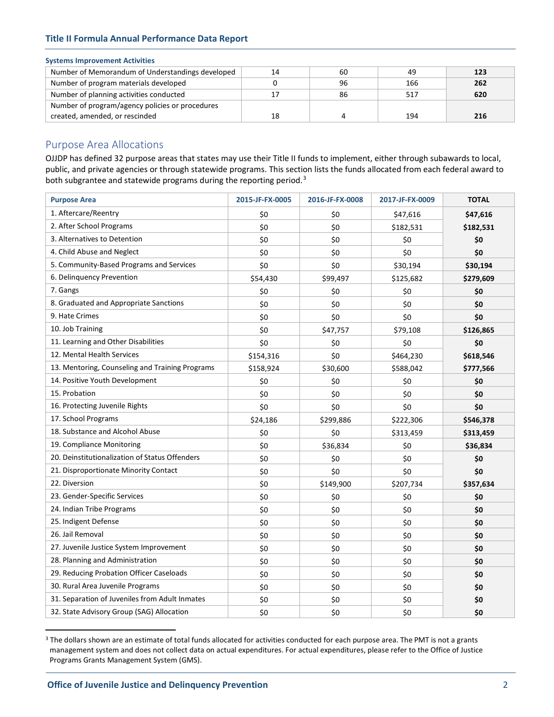| Number of Memorandum of Understandings developed | 14 | 60 | 49  | 123 |
|--------------------------------------------------|----|----|-----|-----|
| Number of program materials developed            |    | 96 | 166 | 262 |
| Number of planning activities conducted          | 17 | 86 | 517 | 620 |
| Number of program/agency policies or procedures  |    |    |     |     |
| created, amended, or rescinded                   | 18 |    | 194 | 216 |

# Purpose Area Allocations

OJJDP has defined 32 purpose areas that states may use their Title II funds to implement, either through subawards to local, public, and private agencies or through statewide programs. This section lists the funds allocated from each federal award to both subgrantee and statewide programs during the reporting period.<sup>[3](#page-1-0)</sup>

| <b>Purpose Area</b>                             | 2015-JF-FX-0005 | 2016-JF-FX-0008 | 2017-JF-FX-0009 | <b>TOTAL</b> |
|-------------------------------------------------|-----------------|-----------------|-----------------|--------------|
| 1. Aftercare/Reentry                            | \$0             | \$0             | \$47,616        | \$47,616     |
| 2. After School Programs                        | \$0             | \$0             | \$182,531       | \$182,531    |
| 3. Alternatives to Detention                    | \$0             | \$0             | \$0             | \$0          |
| 4. Child Abuse and Neglect                      | \$0             | \$0             | \$0             | \$0          |
| 5. Community-Based Programs and Services        | \$0             | \$0             | \$30,194        | \$30,194     |
| 6. Delinquency Prevention                       | \$54,430        | \$99,497        | \$125,682       | \$279,609    |
| 7. Gangs                                        | \$0             | \$0             | \$0             | \$0          |
| 8. Graduated and Appropriate Sanctions          | \$0             | \$0             | \$0             | \$0          |
| 9. Hate Crimes                                  | \$0             | \$0             | \$0             | \$0          |
| 10. Job Training                                | \$0             | \$47,757        | \$79,108        | \$126,865    |
| 11. Learning and Other Disabilities             | \$0             | \$0             | \$0             | \$0          |
| 12. Mental Health Services                      | \$154,316       | \$0             | \$464,230       | \$618,546    |
| 13. Mentoring, Counseling and Training Programs | \$158,924       | \$30,600        | \$588,042       | \$777,566    |
| 14. Positive Youth Development                  | \$0             | \$0             | \$0             | \$0          |
| 15. Probation                                   | \$0             | \$0             | \$0             | \$0          |
| 16. Protecting Juvenile Rights                  | \$0             | \$0             | \$0             | \$0          |
| 17. School Programs                             | \$24,186        | \$299,886       | \$222,306       | \$546,378    |
| 18. Substance and Alcohol Abuse                 | \$0             | \$0             | \$313,459       | \$313,459    |
| 19. Compliance Monitoring                       | \$0             | \$36,834        | \$0             | \$36,834     |
| 20. Deinstitutionalization of Status Offenders  | \$0             | \$0             | \$0             | \$0          |
| 21. Disproportionate Minority Contact           | \$0             | \$0             | \$0             | \$0          |
| 22. Diversion                                   | \$0             | \$149,900       | \$207,734       | \$357,634    |
| 23. Gender-Specific Services                    | \$0             | \$0             | \$0             | \$0          |
| 24. Indian Tribe Programs                       | \$0             | \$0             | \$0             | \$0          |
| 25. Indigent Defense                            | \$0             | \$0             | \$0             | \$0          |
| 26. Jail Removal                                | \$0             | \$0             | \$0             | \$0          |
| 27. Juvenile Justice System Improvement         | \$0             | \$0             | \$0             | \$0          |
| 28. Planning and Administration                 | \$0             | \$0             | \$0             | \$0          |
| 29. Reducing Probation Officer Caseloads        | \$0             | \$0             | \$0             | \$0          |
| 30. Rural Area Juvenile Programs                | \$0             | \$0             | \$0             | \$0          |
| 31. Separation of Juveniles from Adult Inmates  | \$0             | \$0             | \$0             | \$0          |
| 32. State Advisory Group (SAG) Allocation       | \$0             | \$0             | \$0             | \$0          |

<span id="page-1-0"></span><sup>&</sup>lt;sup>3</sup> The dollars shown are an estimate of total funds allocated for activities conducted for each purpose area. The PMT is not a grants management system and does not collect data on actual expenditures. For actual expenditures, please refer to the Office of Justice Programs Grants Management System (GMS).

 $\overline{a}$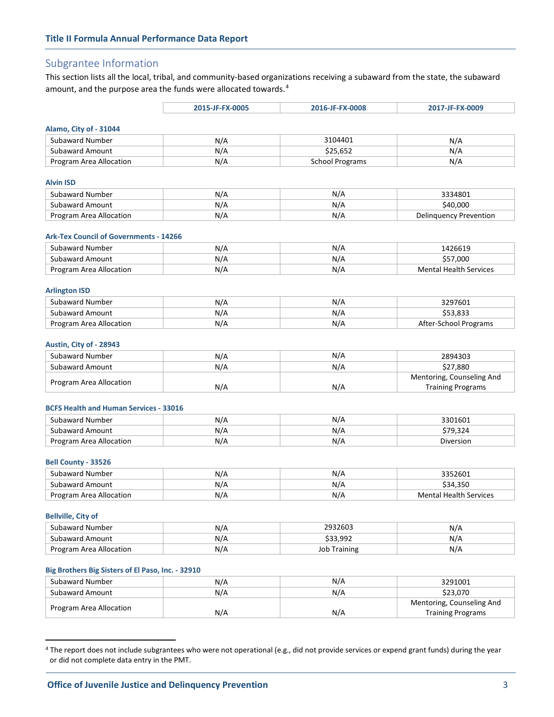# Subgrantee Information

This section lists all the local, tribal, and community-based organizations receiving a subaward from the state, the subaward amount, and the purpose area the funds were allocated towards.<sup>[4](#page-2-0)</sup>

|                         | 2015-JF-FX-0005 | 2016-JF-FX-0008        | 2017-JF-FX-0009        |
|-------------------------|-----------------|------------------------|------------------------|
| Alamo, City of - 31044  |                 |                        |                        |
| Subaward Number         | N/A             | 3104401                | N/A                    |
| <b>Subaward Amount</b>  | N/A             | \$25,652               | N/A                    |
| Program Area Allocation | N/A             | <b>School Programs</b> | N/A                    |
|                         |                 |                        |                        |
| <b>Alvin ISD</b>        |                 |                        |                        |
| Subaward Number         | N/A             | N/A                    | 3334801                |
| <b>Subaward Amount</b>  | N/A             | N/A                    | \$40,000               |
| Program Area Allocation | N/A             | N/A                    | Delinguency Prevention |

#### **Ark-Tex Council of Governments - 14266**

| Subaward Number         | N/A | N/A | 1426619                |
|-------------------------|-----|-----|------------------------|
| <b>Subaward Amount</b>  | N/A | N/A | 000.'<br><b>. پ</b>    |
| Program Area Allocation | N/A | N/A | Mental Health Services |

#### **Arlington ISD**

| Subaward Number         | N/A | N/L | 3297601               |
|-------------------------|-----|-----|-----------------------|
| <b>Subaward Amount</b>  | N/A | N/t | - 223,833             |
| Program Area Allocation | N/A | N/A | After-School Programs |

#### **Austin, City of - 28943**

| Subaward Number         | N/A | N/A | 2894303                   |
|-------------------------|-----|-----|---------------------------|
| Subaward Amount         | N/A | N/A | \$27.880                  |
|                         |     |     | Mentoring, Counseling And |
| Program Area Allocation | N/A | N/A | <b>Training Programs</b>  |

#### **BCFS Health and Human Services - 33016**

| Subaward Number            | N/f | N/A | 3301601   |
|----------------------------|-----|-----|-----------|
| Subaward Amount            | N'  | N/r |           |
| Area Allocation<br>Program | N/A | N/A | Diversion |

## **Bell County - 33526**

| Subaward Number         | N/A | N/A   |                        |
|-------------------------|-----|-------|------------------------|
| Subaward Amount         | N/F | N / / | \$34.350               |
| Program Area Allocation | N/k | N/A   | Mental Health Services |

#### **Bellville, City of**

 $\overline{a}$ 

| Subaward Number         | N/A | 2932603          | N/A |
|-------------------------|-----|------------------|-----|
| Subaward Amount         | N/A | \$33.992         | N/A |
| Program Area Allocation | N/A | Training<br>JOD. | N/A |

#### **Big Brothers Big Sisters of El Paso, Inc. - 32910**

| Subaward Number         | N/A | N/A | 3291001                   |
|-------------------------|-----|-----|---------------------------|
| Subaward Amount         | N/A | N/A | \$23.070                  |
| Program Area Allocation |     |     | Mentoring, Counseling And |
|                         | N/A | N/A | <b>Training Programs</b>  |

<span id="page-2-0"></span><sup>&</sup>lt;sup>4</sup> The report does not include subgrantees who were not operational (e.g., did not provide services or expend grant funds) during the year or did not complete data entry in the PMT.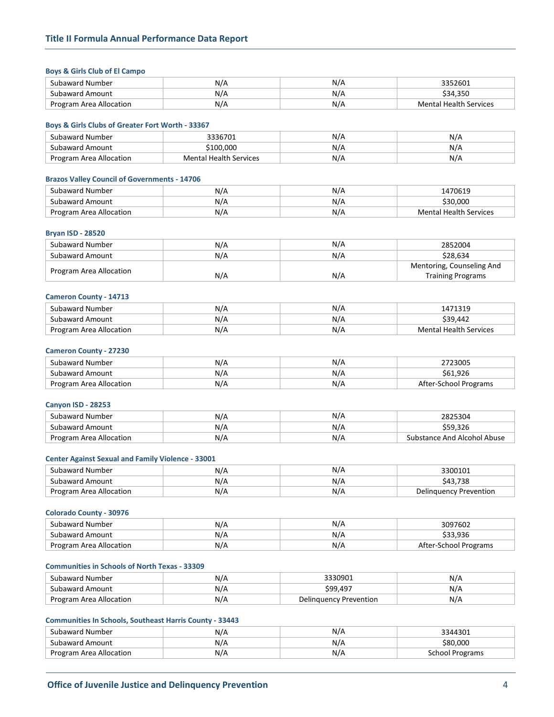#### **Boys & Girls Club of El Campo**

| Subaward Number         | N/A | N/A | 3352601                       |
|-------------------------|-----|-----|-------------------------------|
| Subaward Amount         | N/A | N/A | \$34.350                      |
| Program Area Allocation | N/A | N/A | <b>Mental Health Services</b> |

#### **Boys & Girls Clubs of Greater Fort Worth - 33367**

| Subaward Number         | 3336701                       | N/A | N/A |
|-------------------------|-------------------------------|-----|-----|
| Subaward Amount         | 100.000                       | N/A | N/A |
| Program Area Allocation | <b>Mental Health Services</b> | N/A | N/A |

## **Brazos Valley Council of Governments - 14706**

| Subaward Number         | N/A | $N/\sim$ | 470619                        |
|-------------------------|-----|----------|-------------------------------|
| Subaward Amount         | N/A | N/A      | .30.000                       |
| Program Area Allocation | N/A | N/A      | <b>Mental Health Services</b> |

## **Bryan ISD - 28520**

| Subaward Number         | N/A | N/A | 2852004                   |
|-------------------------|-----|-----|---------------------------|
| Subaward Amount         | N/A | N/A | \$28.634                  |
|                         |     |     | Mentoring, Counseling And |
| Program Area Allocation | N/A | N/A | <b>Training Programs</b>  |

#### **Cameron County - 14713**

| Subaward Number         | N/A | N/A |                        |
|-------------------------|-----|-----|------------------------|
| Subaward Amount         | N/A | ΛL  | 20                     |
| Program Area Allocation | N/A | N/A | Mental Health Services |

#### **Cameron County - 27230**

| Subaward Number         | N/A | AL  | 2723005               |
|-------------------------|-----|-----|-----------------------|
| Subaward Amount         | N/A | N/A | \$61.926              |
| Program Area Allocation | N/A | N/A | After-School Programs |

### **Canyon ISD - 28253**

| Subaward Number         | N/A | N/t      | `25304                      |
|-------------------------|-----|----------|-----------------------------|
| Subaward Amount         | N/A | N/t      | \$59.326                    |
| Program Area Allocation | N/A | $N/\ell$ | substance And Alcohol Abuse |

## **Center Against Sexual and Family Violence - 33001**

| Subaward Number         | N/A | N/L | 3300101                  |
|-------------------------|-----|-----|--------------------------|
| Subaward Amount         | N/A | N/F | $\overline{\phantom{a}}$ |
| Program Area Allocation | N/A | N/A | Delinguency Prevention   |

## **Colorado County - 30976**

| Subaward Number         | N/A | N/A | 3097602               |
|-------------------------|-----|-----|-----------------------|
| Subaward Amount         | N/A | N.  | \$33.936              |
| Program Area Allocation | N/A | N/L | After-School Programs |

#### **Communities in Schools of North Texas - 33309**

| Subaward Number         | N/A |                        | N/  |
|-------------------------|-----|------------------------|-----|
| Subaward Amount         | N/A | ነዓዓ 497                | N/  |
| Program Area Allocation | N/A | Delinguency Prevention | N/A |

#### **Communities In Schools, Southeast Harris County - 33443**

| Subaward Number         | N/A | N/A | 3344301            |
|-------------------------|-----|-----|--------------------|
| Subaward Amount         | N/A | N/A | 580.00C            |
| Program Area Allocation | N/A | N/A | Programs<br>School |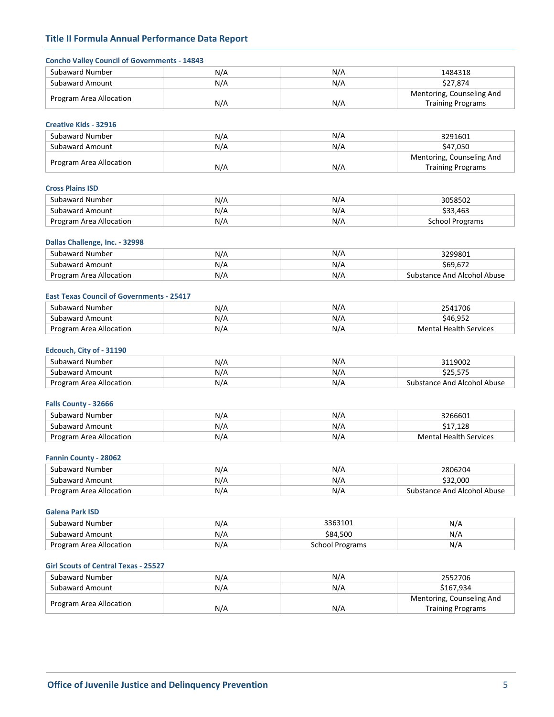| <b>Concho Valley Council of Governments - 14843</b> |            |                        |                                           |
|-----------------------------------------------------|------------|------------------------|-------------------------------------------|
| <b>Subaward Number</b>                              | N/A        | N/A                    | 1484318                                   |
| <b>Subaward Amount</b>                              | N/A        | N/A                    | \$27,874                                  |
| Program Area Allocation                             |            |                        | Mentoring, Counseling And                 |
|                                                     | N/A        | N/A                    | <b>Training Programs</b>                  |
| <b>Creative Kids - 32916</b>                        |            |                        |                                           |
| <b>Subaward Number</b>                              | N/A        | N/A                    | 3291601                                   |
| <b>Subaward Amount</b>                              | N/A        | N/A                    | \$47,050                                  |
|                                                     |            |                        | Mentoring, Counseling And                 |
| Program Area Allocation                             | N/A        | N/A                    | <b>Training Programs</b>                  |
| <b>Cross Plains ISD</b>                             |            |                        |                                           |
| <b>Subaward Number</b>                              | N/A        | N/A                    | 3058502                                   |
| <b>Subaward Amount</b>                              | N/A        | N/A                    | \$33,463                                  |
| Program Area Allocation                             | N/A        | N/A                    | <b>School Programs</b>                    |
|                                                     |            |                        |                                           |
| Dallas Challenge, Inc. - 32998                      |            |                        |                                           |
| Subaward Number                                     | N/A        | N/A                    | 3299801                                   |
| <b>Subaward Amount</b>                              | N/A        | N/A                    | \$69,672                                  |
| Program Area Allocation                             | N/A        | N/A                    | <b>Substance And Alcohol Abuse</b>        |
| <b>East Texas Council of Governments - 25417</b>    |            |                        |                                           |
| <b>Subaward Number</b>                              | N/A        | N/A                    | 2541706                                   |
| <b>Subaward Amount</b>                              | N/A        | N/A                    | \$46,952                                  |
| Program Area Allocation                             | N/A        | N/A                    | <b>Mental Health Services</b>             |
| Edcouch, City of - 31190                            |            |                        |                                           |
| Subaward Number                                     | N/A        | N/A                    | 3119002                                   |
| <b>Subaward Amount</b>                              | N/A        | N/A                    | \$25,575                                  |
| Program Area Allocation                             | N/A        | N/A                    | <b>Substance And Alcohol Abuse</b>        |
|                                                     |            |                        |                                           |
| Falls County - 32666<br><b>Subaward Number</b>      |            |                        |                                           |
| <b>Subaward Amount</b>                              | N/A        | N/A                    | 3266601                                   |
| Program Area Allocation                             | N/A<br>N/A | N/A<br>N/A             | \$17,128<br><b>Mental Health Services</b> |
|                                                     |            |                        |                                           |
| <b>Fannin County - 28062</b>                        |            |                        |                                           |
| <b>Subaward Number</b>                              | N/A        | N/A                    | 2806204                                   |
| Subaward Amount                                     | N/A        | N/A                    | \$32,000                                  |
| Program Area Allocation                             | N/A        | N/A                    | Substance And Alcohol Abuse               |
| <b>Galena Park ISD</b>                              |            |                        |                                           |
| Subaward Number                                     | N/A        | 3363101                | N/A                                       |
| <b>Subaward Amount</b>                              | N/A        | \$84,500               | N/A                                       |
| Program Area Allocation                             | N/A        | <b>School Programs</b> | N/A                                       |
| <b>Girl Scouts of Central Texas - 25527</b>         |            |                        |                                           |
| Subaward Number                                     | N/A        | N/A                    | 2552706                                   |
| <b>Subaward Amount</b>                              | N/A        | N/A                    | \$167,934                                 |
|                                                     |            |                        | Mentoring, Counseling And                 |
| Program Area Allocation                             | N/A        | N/A                    | <b>Training Programs</b>                  |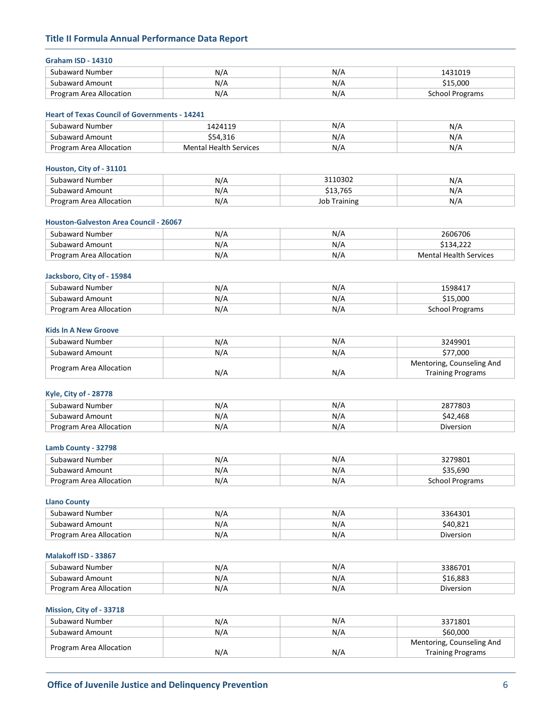## **Graham ISD - 14310**

| Subaward Number         | N/A | N/A        | 431019          |
|-------------------------|-----|------------|-----------------|
| . Subaward Amount       | N/A | N<br>177 F | 000.،           |
| Program Area Allocation | N/A | N/A        | School Programs |

#### **Heart of Texas Council of Governments - 14241**

| Subaward Number         | 1424119                       | N/F | N/A |
|-------------------------|-------------------------------|-----|-----|
| Subaward Amount         | 21C                           | N/  | N/A |
| Program Area Allocation | <b>Mental Health Services</b> | N/F | N/A |

### **Houston, City of - 31101**

| Subaward Number         | N/A | 2110202           | NIF  |
|-------------------------|-----|-------------------|------|
| Subaward Amount         | N/A | 765               | N7 A |
| Program Area Allocation | N/A | Training<br>Job i | IV/A |

#### **Houston-Galveston Area Council - 26067**

| Subaward Number         | N/A | N/L | 2606706                |
|-------------------------|-----|-----|------------------------|
| Subaward Amount         | N/A | N/  | \$134.222              |
| Program Area Allocation | N/A | N/L | Mental Health Services |

### **Jacksboro, City of - 15984**

| Subaward Number         | N/k | N/  | 598417          |
|-------------------------|-----|-----|-----------------|
| Subaward Amount         | N/A | N/t | \$15.000        |
| Program Area Allocation | N/A | N/A | School Programs |

## **Kids In A New Groove**

| Subaward Number         | N/A | N/A | 3249901                   |
|-------------------------|-----|-----|---------------------------|
| Subaward Amount         | N/A | N/A | \$77,000                  |
|                         |     |     | Mentoring, Counseling And |
| Program Area Allocation | N/A | N/A | <b>Training Programs</b>  |

## **Kyle, City of - 28778**

| Subaward Number         | N/A | м             | 2077002<br>'8U. |
|-------------------------|-----|---------------|-----------------|
| Subaward Amount         | N/A | AL 1<br>177 F | .468            |
| Program Area Allocation | N/A | N/A           | Diversion       |

## **Lamb County - 32798**

| Subaward Number            | N/A | N/A | ን27980ኒ              |
|----------------------------|-----|-----|----------------------|
| Subaward Amount            | N/A | N/A | 35.690،<br>cor.      |
| Area Allocation<br>Program | N/A | N/F | ichool<br>l Programs |

#### **Llano County**

| Subaward Number         | N/A | N/A | 2261201<br>∸∟ |
|-------------------------|-----|-----|---------------|
| Subaward Amount         | N/A | N/A | :40.82        |
| Program Area Allocation | N/A | N/A | Diversion     |

## **Malakoff ISD - 33867**

| Subaward Number         | N/F | N/A | 3386701   |
|-------------------------|-----|-----|-----------|
| Subaward Amount         | N/F | N/A | 16.883ء   |
| Program Area Allocation | N/A | N/A | Diversion |

## **Mission, City of - 33718**

| Subaward Number         | N/A | N/A | 3371801                   |
|-------------------------|-----|-----|---------------------------|
| Subaward Amount         | N/A | N/A | \$60,000                  |
|                         |     |     | Mentoring, Counseling And |
| Program Area Allocation | N/A | N/A | <b>Training Programs</b>  |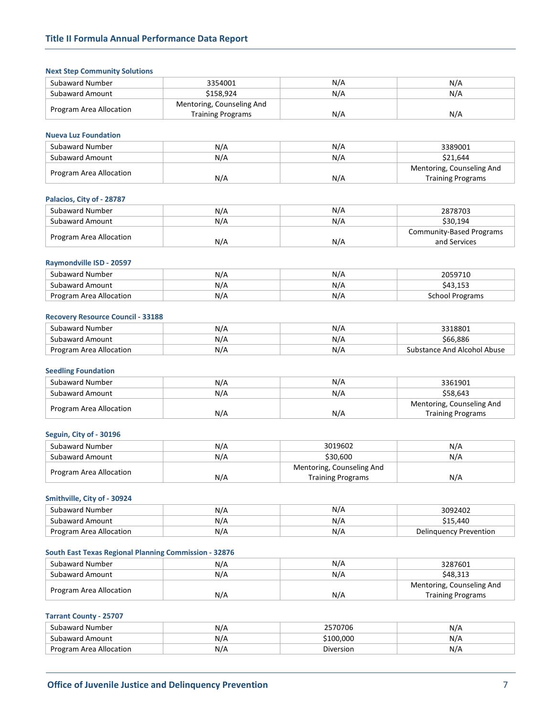|  | <b>Next Step Community Solutions</b> |  |
|--|--------------------------------------|--|
|--|--------------------------------------|--|

| Subaward Number         | 3354001                   | N/A | N/A |
|-------------------------|---------------------------|-----|-----|
| Subaward Amount         | \$158.924                 | N/A | N/A |
|                         | Mentoring, Counseling And |     |     |
| Program Area Allocation | <b>Training Programs</b>  | N/A | N/A |

## **Nueva Luz Foundation**

| Subaward Number         | N/A | N/A | 3389001                   |
|-------------------------|-----|-----|---------------------------|
| Subaward Amount         | N/A | N/A | \$21.644                  |
| Program Area Allocation |     |     | Mentoring, Counseling And |
|                         | N/A | N/A | <b>Training Programs</b>  |

## **Palacios, City of - 28787**

| Subaward Number         | N/A | N/A | 2878703                  |
|-------------------------|-----|-----|--------------------------|
| Subaward Amount         | N/A | N/A | \$30.194                 |
|                         |     |     | Community-Based Programs |
| Program Area Allocation | N/A | N/A | and Services             |

#### **Raymondville ISD - 20597**

| Subaward Number         | N/A | N/A                  |                                          |
|-------------------------|-----|----------------------|------------------------------------------|
| Subaward Amount         | N/A | N/<br>. . <i>. .</i> | 1 F 2<br>$\Lambda^{\sigma}$<br>ب ب⊥ر ل⊢ب |
| Program Area Allocation | N/A | N/r                  | School Programs                          |

#### **Recovery Resource Council - 33188**

| Subaward Number         | N/A | N/L | <b>1318801</b>              |
|-------------------------|-----|-----|-----------------------------|
| Subaward Amount         | N/A | N/r | \$66.886                    |
| Program Area Allocation | N/A | N/L | substance And Alcohol Abuse |

#### **Seedling Foundation**

| Subaward Number         | N/A | N/A | 3361901                   |
|-------------------------|-----|-----|---------------------------|
| Subaward Amount         | N/A | N/A | \$58.643                  |
| Program Area Allocation |     |     | Mentoring, Counseling And |
|                         | N/A | N/A | <b>Training Programs</b>  |

#### **Seguin, City of - 30196**

| Subaward Number         | N/A | 3019602                   | N/A |
|-------------------------|-----|---------------------------|-----|
| Subaward Amount         | N/A | \$30.600                  | N/A |
| Program Area Allocation |     | Mentoring, Counseling And |     |
|                         | N/A | <b>Training Programs</b>  | N/A |

## **Smithville, City of - 30924**

| Subaward Number         | N/A | N/A | 3092402                |
|-------------------------|-----|-----|------------------------|
| Subaward Amount         | N/A | N/A | \$15,440               |
| Program Area Allocation | N/A | N/t | Delinguency Prevention |

## **South East Texas Regional Planning Commission - 32876**

| Subaward Number         | N/A | N/A | 3287601                                               |
|-------------------------|-----|-----|-------------------------------------------------------|
| Subaward Amount         | N/A | N/A | \$48.313                                              |
| Program Area Allocation | N/A | N/A | Mentoring, Counseling And<br><b>Training Programs</b> |

### **Tarrant County - 25707**

| Subaward Number            | N/L<br>,,, | 2570706   | N/<br>. . <i>. .</i> |
|----------------------------|------------|-----------|----------------------|
| Subaward Amount            | NI / 4     | 100.000   | N۱<br><b>M</b>       |
| Area Allocation<br>Program | N/         | Diversion | N۱<br><b>W/</b>      |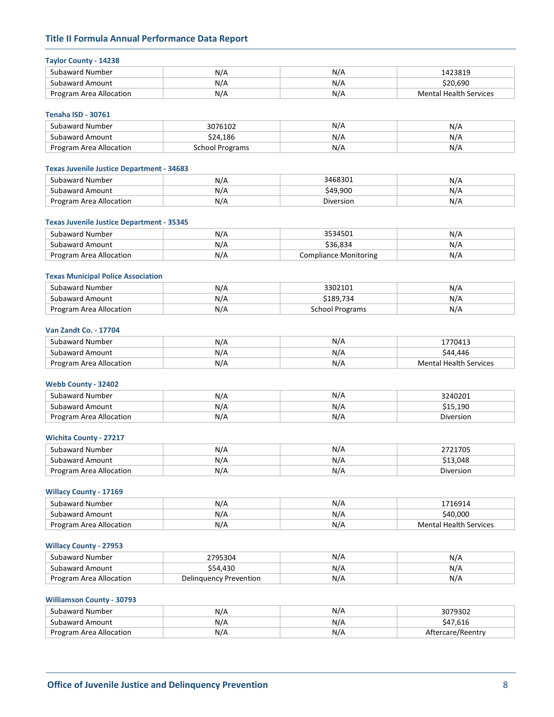## **Taylor County - 14238**

| .                       |     |     |                        |
|-------------------------|-----|-----|------------------------|
| Subaward Number         | N/A | N/A | 1423819                |
| Subaward Amount         | N/A | N/A | \$20.690               |
| Program Area Allocation | N/A | N/A | Mental Health Services |

#### **Tenaha ISD - 30761**

| Subaward Number         | 3076102         | N/A | N/A |
|-------------------------|-----------------|-----|-----|
| Subaward Amount         | \$24.186        | N/A | N/A |
| Program Area Allocation | School Programs | N/F | N/A |

## **Texas Juvenile Justice Department - 34683**

| Subaward Number         | N/A | 3468301<br>083U. | NZ.                 |
|-------------------------|-----|------------------|---------------------|
| Subaward Amount         | N/A | \$49.900         | NIH                 |
| Program Area Allocation | N/A | Diversion        | $\mathbf{L}$<br>N/A |

#### **Texas Juvenile Justice Department - 35345**

| Subaward Number         | N/A | 2E2AEM1<br>⊥טכי       | N/  |
|-------------------------|-----|-----------------------|-----|
| Subaward Amount         | N/A | \$36.834              | N/A |
| Program Area Allocation | N/A | Compliance Monitoring | N/f |

### **Texas Municipal Police Association**

| Subaward Number         | N/A | 3302101            | N/    |
|-------------------------|-----|--------------------|-------|
| Subaward Amount         | N/F | 189,734ډ           | $N$ / |
| Program Area Allocation | N/A | School<br>Programs | N/A   |

## **Van Zandt Co. - 17704**

| Subaward Number         | N/A | N/A |                        |
|-------------------------|-----|-----|------------------------|
| Subaward Amount         | N/A | N/A | .446<br>-44            |
| Program Area Allocation | N/A | N// | Mental Health Services |

## **Webb County - 32402**

| Subaward Number         | N/A | N/A | 3240201            |
|-------------------------|-----|-----|--------------------|
| Subaward Amount         | N/A | N/A | 61 F J<br>\$15,190 |
| Program Area Allocation | N/A | N/A | Diversion          |

## **Wichita County - 27217**

| Subaward Number         | N/A | N1/ | 170E      |
|-------------------------|-----|-----|-----------|
| Subaward Amount         | N/A | N/A | 13.048    |
| Program Area Allocation | N/F | N/A | Diversion |

## **Willacy County - 17169**

| Subaward Number         | N/A | N/F | 716914                        |
|-------------------------|-----|-----|-------------------------------|
| Subaward Amount         | N/A | N/A | 340.000                       |
| Program Area Allocation | N/A | N/A | <b>Mental Health Services</b> |

## **Willacy County - 27953**

| Subaward Number         | ገ5304                  | N/L | NIH |
|-------------------------|------------------------|-----|-----|
| Subaward Amount         | .43C                   | N/A | V/F |
| Program Area Allocation | Delinguency Prevention | N/A | N/A |

#### **Williamson County - 30793**

| Subaward Number         | N/A | N/A | 3079302      |
|-------------------------|-----|-----|--------------|
| Subaward Amount         | N/A | N/A |              |
| Program Area Allocation | N/A | N/A | care/Reentry |